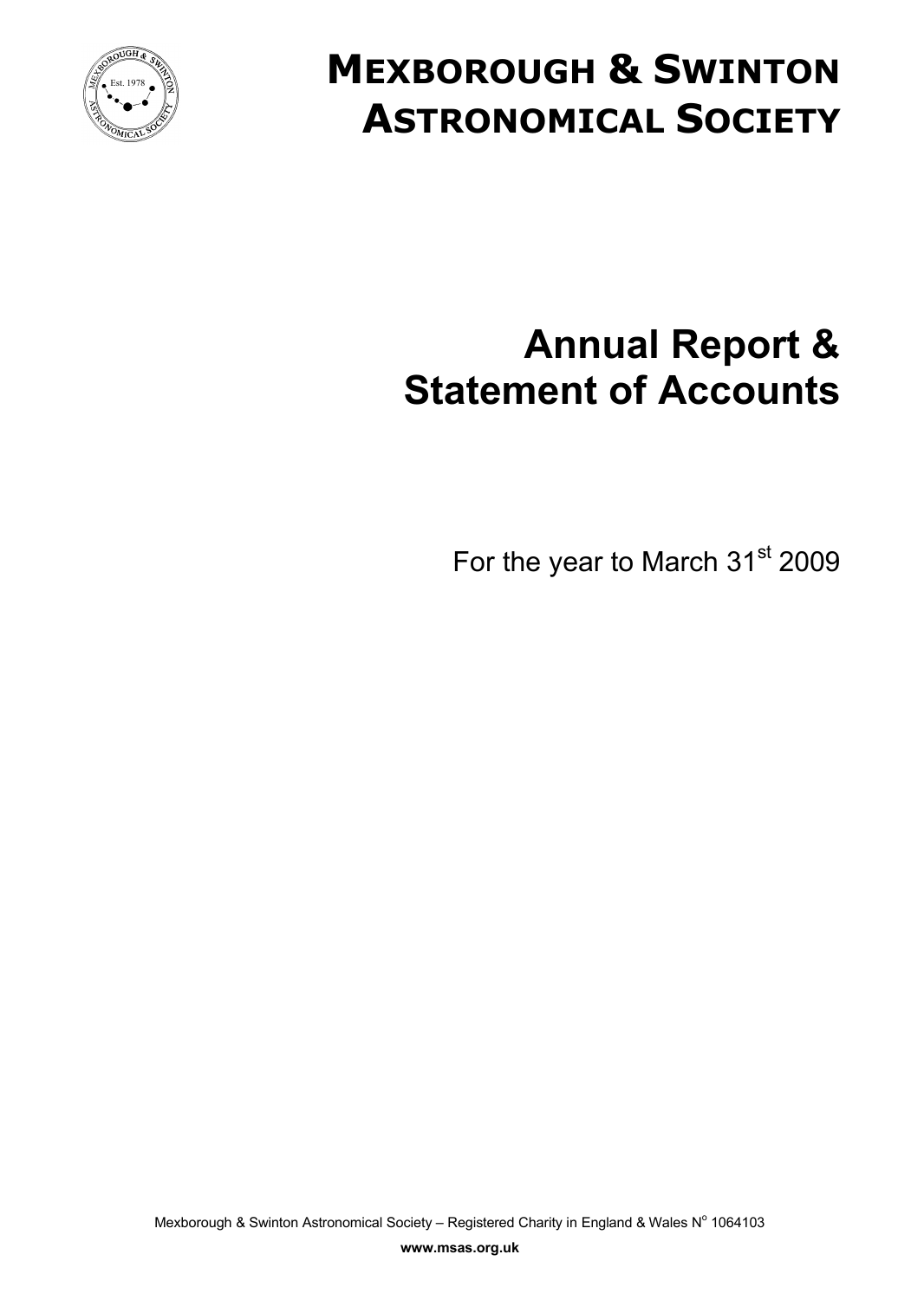

# **MEXBOROUGH & SWINTON ASTRONOMICAL SOCIETY**

# **Annual Report & Statement of Accounts**

For the year to March 31<sup>st</sup> 2009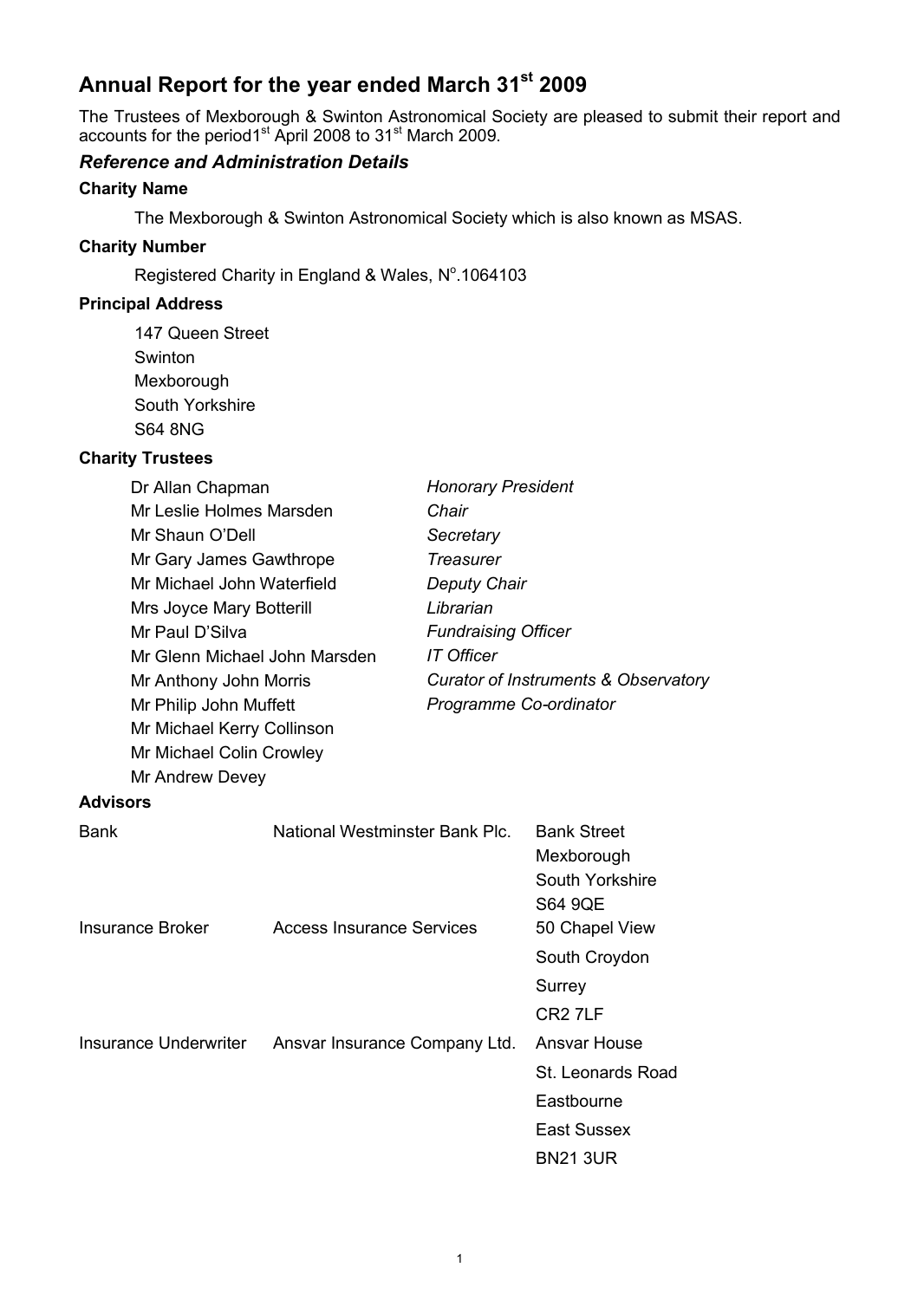## **Annual Report for the year ended March 31st 2009**

The Trustees of Mexborough & Swinton Astronomical Society are pleased to submit their report and accounts for the period1<sup>st</sup> April 2008 to 31<sup>st</sup> March 2009.

#### *Reference and Administration Details*

#### **Charity Name**

The Mexborough & Swinton Astronomical Society which is also known as MSAS.

#### **Charity Number**

Registered Charity in England & Wales, Nº.1064103

#### **Principal Address**

147 Queen Street Swinton Mexborough South Yorkshire S64 8NG

#### **Charity Trustees**

| Dr Allan Chapman           |                                  | <b>Honorary President</b>  |                                                                       |
|----------------------------|----------------------------------|----------------------------|-----------------------------------------------------------------------|
| Mr Leslie Holmes Marsden   |                                  | Chair                      |                                                                       |
| Mr Shaun O'Dell            |                                  | Secretary                  |                                                                       |
| Mr Gary James Gawthrope    |                                  | <b>Treasurer</b>           |                                                                       |
| Mr Michael John Waterfield |                                  | <b>Deputy Chair</b>        |                                                                       |
| Mrs Joyce Mary Botterill   |                                  | Librarian                  |                                                                       |
| Mr Paul D'Silva            |                                  | <b>Fundraising Officer</b> |                                                                       |
|                            | Mr Glenn Michael John Marsden    | <b>IT Officer</b>          |                                                                       |
| Mr Anthony John Morris     |                                  |                            | <b>Curator of Instruments &amp; Observatory</b>                       |
| Mr Philip John Muffett     |                                  | Programme Co-ordinator     |                                                                       |
| Mr Michael Kerry Collinson |                                  |                            |                                                                       |
| Mr Michael Colin Crowley   |                                  |                            |                                                                       |
| Mr Andrew Devey            |                                  |                            |                                                                       |
| <b>Advisors</b>            |                                  |                            |                                                                       |
| <b>Bank</b>                | National Westminster Bank Plc.   |                            | <b>Bank Street</b><br>Mexborough<br>South Yorkshire<br><b>S64 9QE</b> |
| <b>Insurance Broker</b>    | <b>Access Insurance Services</b> |                            | 50 Chapel View                                                        |
|                            |                                  |                            | South Croydon                                                         |
|                            |                                  |                            | Surrey                                                                |
|                            |                                  |                            | CR <sub>2</sub> 7LF                                                   |
| Insurance Underwriter      | Ansvar Insurance Company Ltd.    |                            | Ansvar House                                                          |
|                            |                                  |                            | St. Leonards Road                                                     |
|                            |                                  |                            | Eastbourne                                                            |
|                            |                                  |                            | <b>East Sussex</b>                                                    |
|                            |                                  |                            | <b>BN21 3UR</b>                                                       |
|                            |                                  |                            |                                                                       |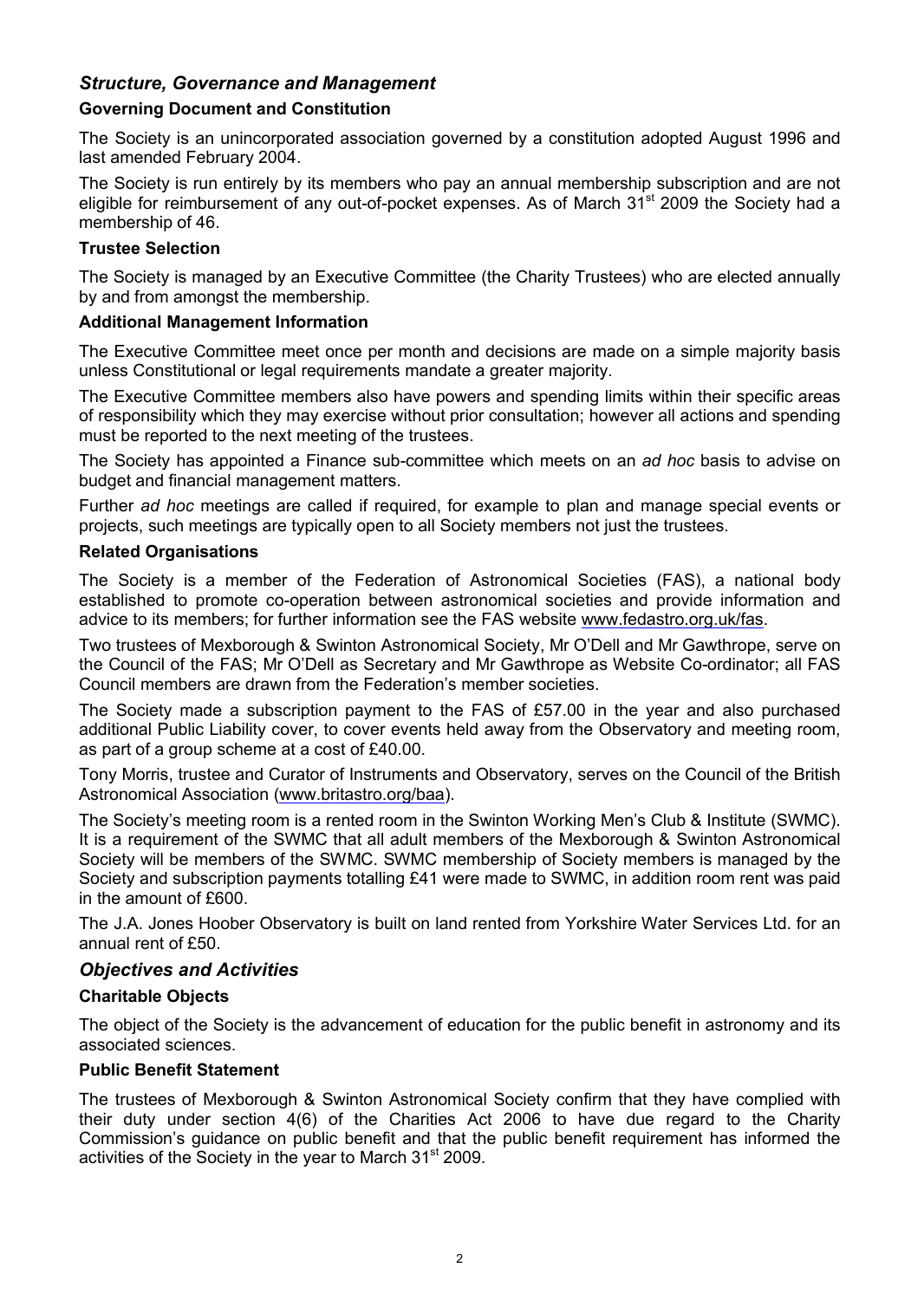#### *Structure, Governance and Management*

#### **Governing Document and Constitution**

The Society is an unincorporated association governed by a constitution adopted August 1996 and last amended February 2004.

The Society is run entirely by its members who pay an annual membership subscription and are not eligible for reimbursement of any out-of-pocket expenses. As of March 31<sup>st</sup> 2009 the Society had a membership of 46.

#### **Trustee Selection**

The Society is managed by an Executive Committee (the Charity Trustees) who are elected annually by and from amongst the membership.

#### **Additional Management Information**

The Executive Committee meet once per month and decisions are made on a simple majority basis unless Constitutional or legal requirements mandate a greater majority.

The Executive Committee members also have powers and spending limits within their specific areas of responsibility which they may exercise without prior consultation; however all actions and spending must be reported to the next meeting of the trustees.

The Society has appointed a Finance sub-committee which meets on an *ad hoc* basis to advise on budget and financial management matters.

Further *ad hoc* meetings are called if required, for example to plan and manage special events or projects, such meetings are typically open to all Society members not just the trustees.

#### **Related Organisations**

The Society is a member of the Federation of Astronomical Societies (FAS), a national body established to promote co-operation between astronomical societies and provide information and advice to its members; for further information see the FAS website [www.fedastro.org.uk/fas.](www.fedastro.org.uk/fas)

Two trustees of Mexborough & Swinton Astronomical Society, Mr O'Dell and Mr Gawthrope, serve on the Council of the FAS; Mr O'Dell as Secretary and Mr Gawthrope as Website Co-ordinator; all FAS Council members are drawn from the Federation's member societies.

The Society made a subscription payment to the FAS of £57.00 in the year and also purchased additional Public Liability cover, to cover events held away from the Observatory and meeting room, as part of a group scheme at a cost of £40.00.

Tony Morris, trustee and Curator of Instruments and Observatory, serves on the Council of the British Astronomical Association [\(www.britastro.org/baa](www.britastro.org/baa)).

The Society's meeting room is a rented room in the Swinton Working Men's Club & Institute (SWMC). It is a requirement of the SWMC that all adult members of the Mexborough & Swinton Astronomical Society will be members of the SWMC. SWMC membership of Society members is managed by the Society and subscription payments totalling £41 were made to SWMC, in addition room rent was paid in the amount of £600.

The J.A. Jones Hoober Observatory is built on land rented from Yorkshire Water Services Ltd. for an annual rent of £50.

#### *Objectives and Activities*

#### **Charitable Objects**

The object of the Society is the advancement of education for the public benefit in astronomy and its associated sciences.

#### **Public Benefit Statement**

The trustees of Mexborough & Swinton Astronomical Society confirm that they have complied with their duty under section 4(6) of the Charities Act 2006 to have due regard to the Charity Commission's guidance on public benefit and that the public benefit requirement has informed the activities of the Society in the year to March 31<sup>st</sup> 2009.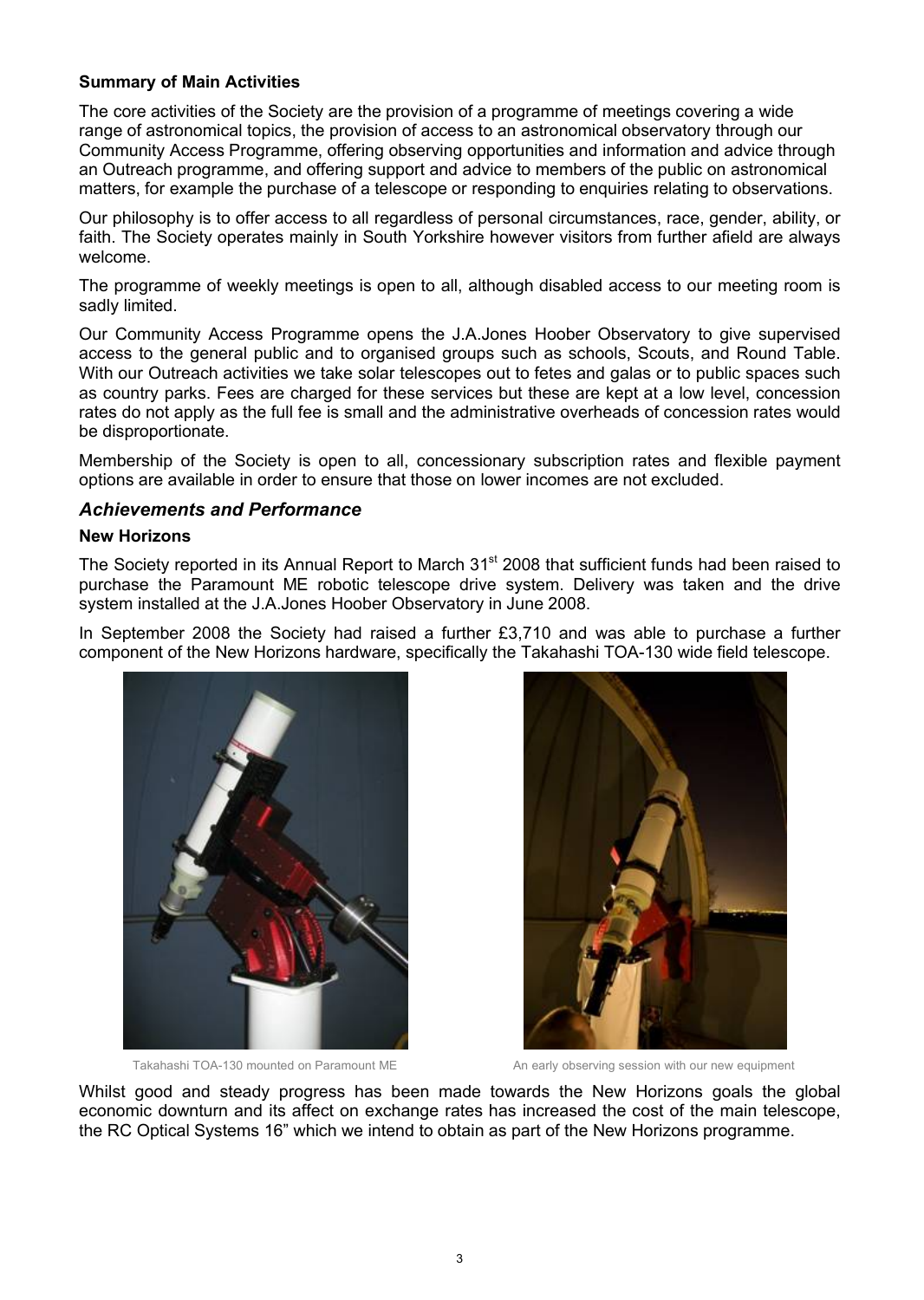#### **Summary of Main Activities**

The core activities of the Society are the provision of a programme of meetings covering a wide range of astronomical topics, the provision of access to an astronomical observatory through our Community Access Programme, offering observing opportunities and information and advice through an Outreach programme, and offering support and advice to members of the public on astronomical matters, for example the purchase of a telescope or responding to enquiries relating to observations.

Our philosophy is to offer access to all regardless of personal circumstances, race, gender, ability, or faith. The Society operates mainly in South Yorkshire however visitors from further afield are always welcome.

The programme of weekly meetings is open to all, although disabled access to our meeting room is sadly limited.

Our Community Access Programme opens the J.A.Jones Hoober Observatory to give supervised access to the general public and to organised groups such as schools, Scouts, and Round Table. With our Outreach activities we take solar telescopes out to fetes and galas or to public spaces such as country parks. Fees are charged for these services but these are kept at a low level, concession rates do not apply as the full fee is small and the administrative overheads of concession rates would be disproportionate.

Membership of the Society is open to all, concessionary subscription rates and flexible payment options are available in order to ensure that those on lower incomes are not excluded.

#### *Achievements and Performance*

#### **New Horizons**

The Society reported in its Annual Report to March 31<sup>st</sup> 2008 that sufficient funds had been raised to purchase the Paramount ME robotic telescope drive system. Delivery was taken and the drive system installed at the J.A.Jones Hoober Observatory in June 2008.

In September 2008 the Society had raised a further £3,710 and was able to purchase a further component of the New Horizons hardware, specifically the Takahashi TOA-130 wide field telescope.





Takahashi TOA-130 mounted on Paramount ME An early observing session with our new equipment

Whilst good and steady progress has been made towards the New Horizons goals the global economic downturn and its affect on exchange rates has increased the cost of the main telescope, the RC Optical Systems 16" which we intend to obtain as part of the New Horizons programme.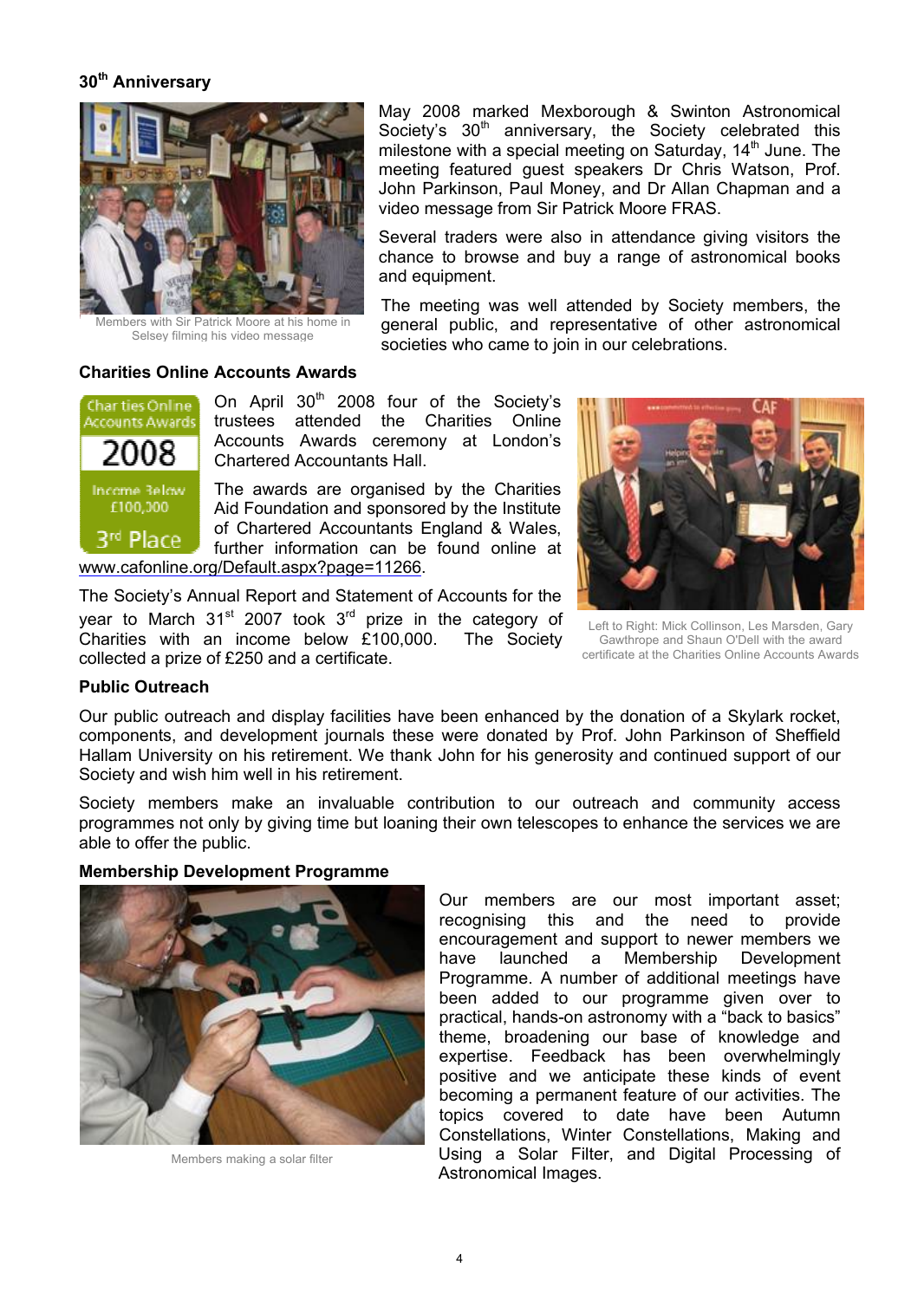#### **30th Anniversary**



Members with Sir Patrick Moore at his home in Selsey filming his video message

May 2008 marked Mexborough & Swinton Astronomical Society's 30<sup>th</sup> anniversary, the Society celebrated this milestone with a special meeting on Saturday,  $14<sup>th</sup>$  June. The meeting featured guest speakers Dr Chris Watson, Prof. John Parkinson, Paul Money, and Dr Allan Chapman and a video message from Sir Patrick Moore FRAS.

Several traders were also in attendance giving visitors the chance to browse and buy a range of astronomical books and equipment.

The meeting was well attended by Society members, the general public, and representative of other astronomical societies who came to join in our celebrations.

#### **Charities Online Accounts Awards**



On April  $30<sup>th</sup>$  2008 four of the Society's trustees attended the Charities Online Accounts Awards ceremony at London's Chartered Accountants Hall.

The awards are organised by the Charities Aid Foundation and sponsored by the Institute of Chartered Accountants England & Wales, further information can be found online at [www.cafonline.org/Default.aspx?page=11266.](www.cafonline.org/Default.aspx?page=11266)

The Society's Annual Report and Statement of Accounts for the year to March 31<sup>st</sup> 2007 took 3<sup>rd</sup> prize in the category of Charities with an income below Ç100,000. The Society collected a prize of £250 and a certificate.



Left to Right: Mick Collinson, Les Marsden, Gary Gawthrope and Shaun O'Dell with the award certificate at the Charities Online Accounts Awards

#### **Public Outreach**

Our public outreach and display facilities have been enhanced by the donation of a Skylark rocket, components, and development journals these were donated by Prof. John Parkinson of Sheffield Hallam University on his retirement. We thank John for his generosity and continued support of our Society and wish him well in his retirement.

Society members make an invaluable contribution to our outreach and community access programmes not only by giving time but loaning their own telescopes to enhance the services we are able to offer the public.



**Membership Development Programme**

Members making a solar filter

Our members are our most important asset; recognising this and the need to provide encouragement and support to newer members we have launched a Membership Development Programme. A number of additional meetings have been added to our programme given over to practical, hands-on astronomy with a "back to basics" theme, broadening our base of knowledge and expertise. Feedback has been overwhelmingly positive and we anticipate these kinds of event becoming a permanent feature of our activities. The topics covered to date have been Autumn Constellations, Winter Constellations, Making and Using a Solar Filter, and Digital Processing of Astronomical Images.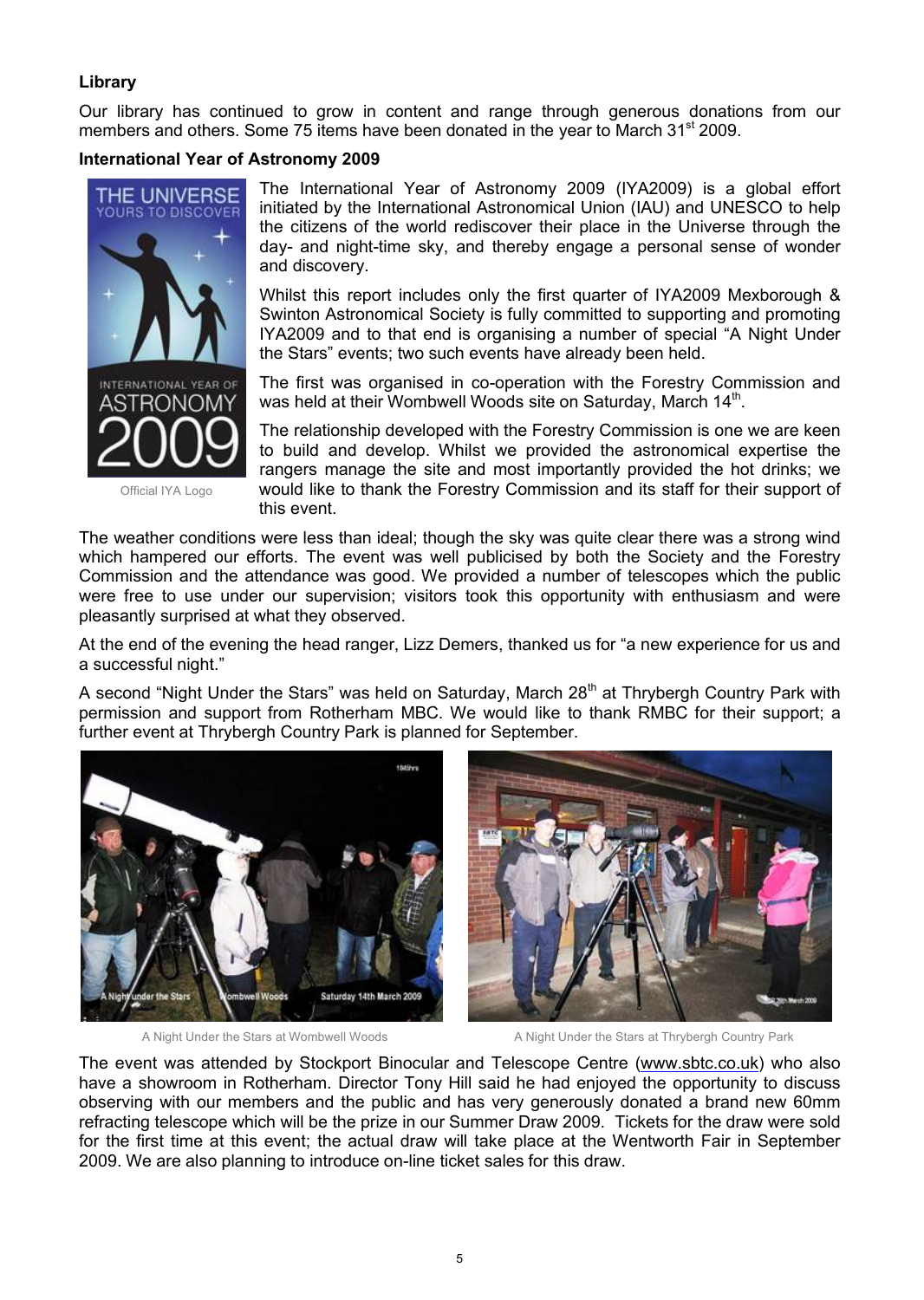#### **Library**

Our library has continued to grow in content and range through generous donations from our members and others. Some 75 items have been donated in the vear to March 31<sup>st</sup> 2009.

#### **International Year of Astronomy 2009**



Official IYA Logo

The International Year of Astronomy 2009 (IYA2009) is a global effort initiated by the International Astronomical Union (IAU) and UNESCO to help the citizens of the world rediscover their place in the Universe through the day- and night-time sky, and thereby engage a personal sense of wonder and discovery.

Whilst this report includes only the first quarter of IYA2009 Mexborough & Swinton Astronomical Society is fully committed to supporting and promoting IYA2009 and to that end is organising a number of special "A Night Under the Stars" events; two such events have already been held.

The first was organised in co-operation with the Forestry Commission and was held at their Wombwell Woods site on Saturday, March 14<sup>th</sup>.

The relationship developed with the Forestry Commission is one we are keen to build and develop. Whilst we provided the astronomical expertise the rangers manage the site and most importantly provided the hot drinks; we would like to thank the Forestry Commission and its staff for their support of this event.

The weather conditions were less than ideal; though the sky was quite clear there was a strong wind which hampered our efforts. The event was well publicised by both the Society and the Forestry Commission and the attendance was good. We provided a number of telescop*e*s which the public were free to use under our supervision; visitors took this opportunity with enthusiasm and were pleasantly surprised at what they observed.

At the end of the evening the head ranger, Lizz Demers, thanked us for "a new experience for us and a successful night."

A second "Night Under the Stars" was held on Saturday, March 28<sup>th</sup> at Thrybergh Country Park with permission and support from Rotherham MBC. We would like to thank RMBC for their support; a further event at Thrybergh Country Park is planned for September.





A Night Under the Stars at Wombwell Woods A Night Under the Stars at Thrybergh Country Park

The event was attended by Stockport Binocular and Telescope Centre [\(www.sbtc.co.uk\)](www.sbtc.co.uk) who also have a showroom in Rotherham. Director Tony Hill said he had enjoyed the opportunity to discuss observing with our members and the public and has very generously donated a brand new 60mm refracting telescope which will be the prize in our Summer Draw 2009. Tickets for the draw were sold for the first time at this event; the actual draw will take place at the Wentworth Fair in September 2009. We are also planning to introduce on-line ticket sales for this draw.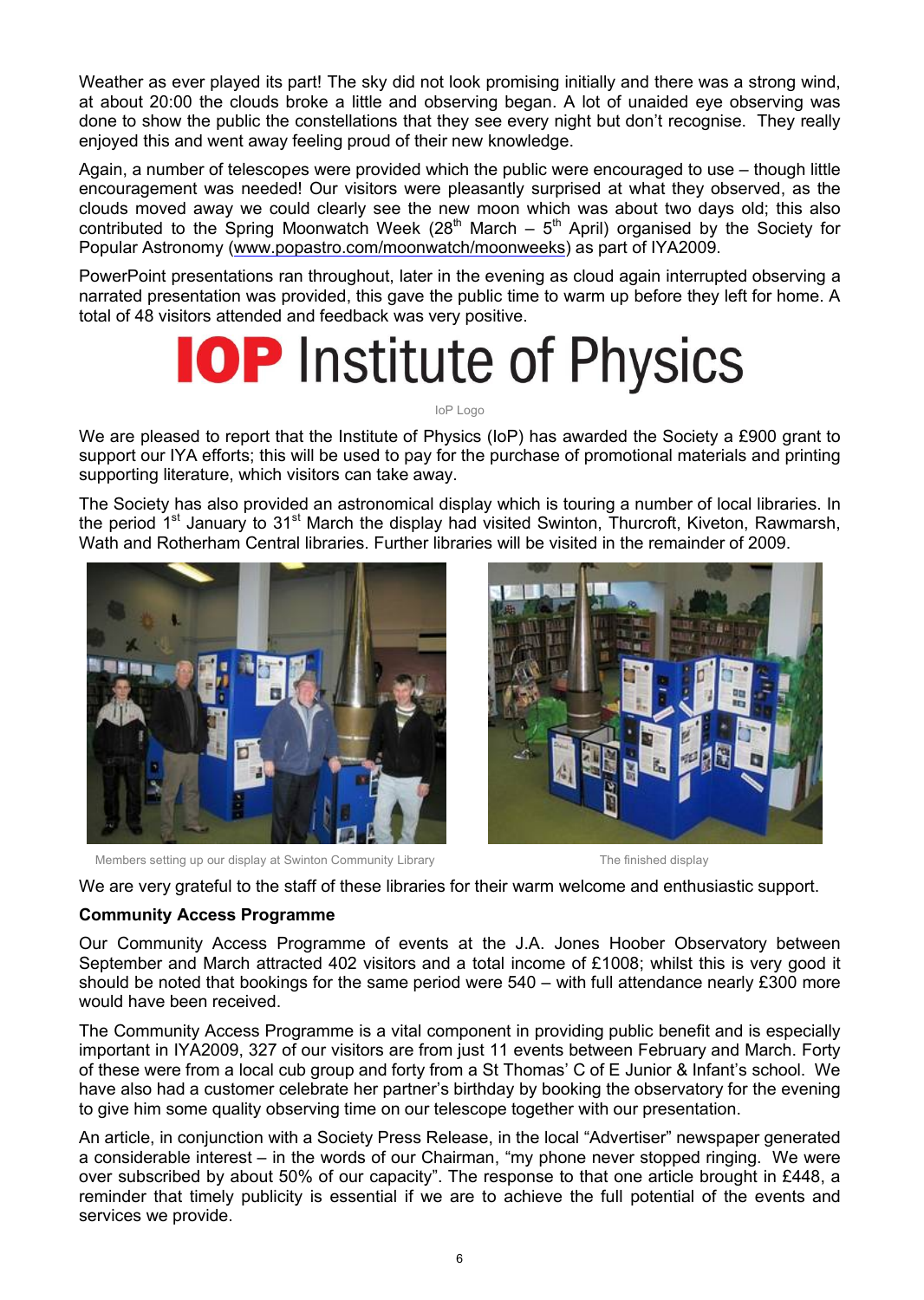Weather as ever played its part! The sky did not look promising initially and there was a strong wind, at about 20:00 the clouds broke a little and observing began. A lot of unaided eye observing was done to show the public the constellations that they see every night but don't recognise. They really enjoyed this and went away feeling proud of their new knowledge.

Again, a number of telescop*e*s were provided which the public were encouraged to use – though little encouragement was needed! Our visitors were pleasantly surprised at what they observed, as the clouds moved away we could clearly see the new moon which was about two days old; this also contributed to the Spring Moonwatch Week (28<sup>th</sup> March –  $5<sup>th</sup>$  April) organised by the Society for Popular Astronomy [\(www.popastro.com/moonwatch/moonweeks\)](www.popastro.com/moonwatch/moonweeks) as part of IYA2009.

PowerPoint presentations ran throughout, later in the evening as cloud again interrupted observing a narrated presentation was provided, this gave the public time to warm up before they left for home. A total of 48 visitors attended and feedback was very positive.

# **IOP** Institute of Physics

IoP Logo

We are pleased to report that the Institute of Physics (IoP) has awarded the Society a £900 grant to support our IYA efforts; this will be used to pay for the purchase of promotional materials and printing supporting literature, which visitors can take away.

The Society has also provided an astronomical display which is touring a number of local libraries. In the period 1<sup>st</sup> January to 31<sup>st</sup> March the display had visited Swinton, Thurcroft, Kiveton, Rawmarsh, Wath and Rotherham Central libraries. Further libraries will be visited in the remainder of 2009.



Members setting up our display at Swinton Community Library The finished display



We are very grateful to the staff of these libraries for their warm welcome and enthusiastic support.

#### **Community Access Programme**

Our Community Access Programme of events at the J.A. Jones Hoober Observatory between September and March attracted 402 visitors and a total income of £1008; whilst this is very good it should be noted that bookings for the same period were  $540 -$  with full attendance nearly £300 more would have been received.

The Community Access Programme is a vital component in providing public benefit and is especially important in IYA2009, 327 of our visitors are from just 11 events between February and March. Forty of these were from a local cub group and forty from a St Thomas' C of E Junior & Infant's school. We have also had a customer celebrate her partner's birthday by booking the observatory for the evening to give him some quality observing time on our telescope together with our presentation.

An article, in conjunction with a Society Press Release, in the local "Advertiser" newspaper generated a considerable interest – in the words of our Chairman, "my phone never stopped ringing. We were over subscribed by about 50% of our capacity". The response to that one article brought in Ç448, a reminder that timely publicity is essential if we are to achieve the full potential of the events and services we provide.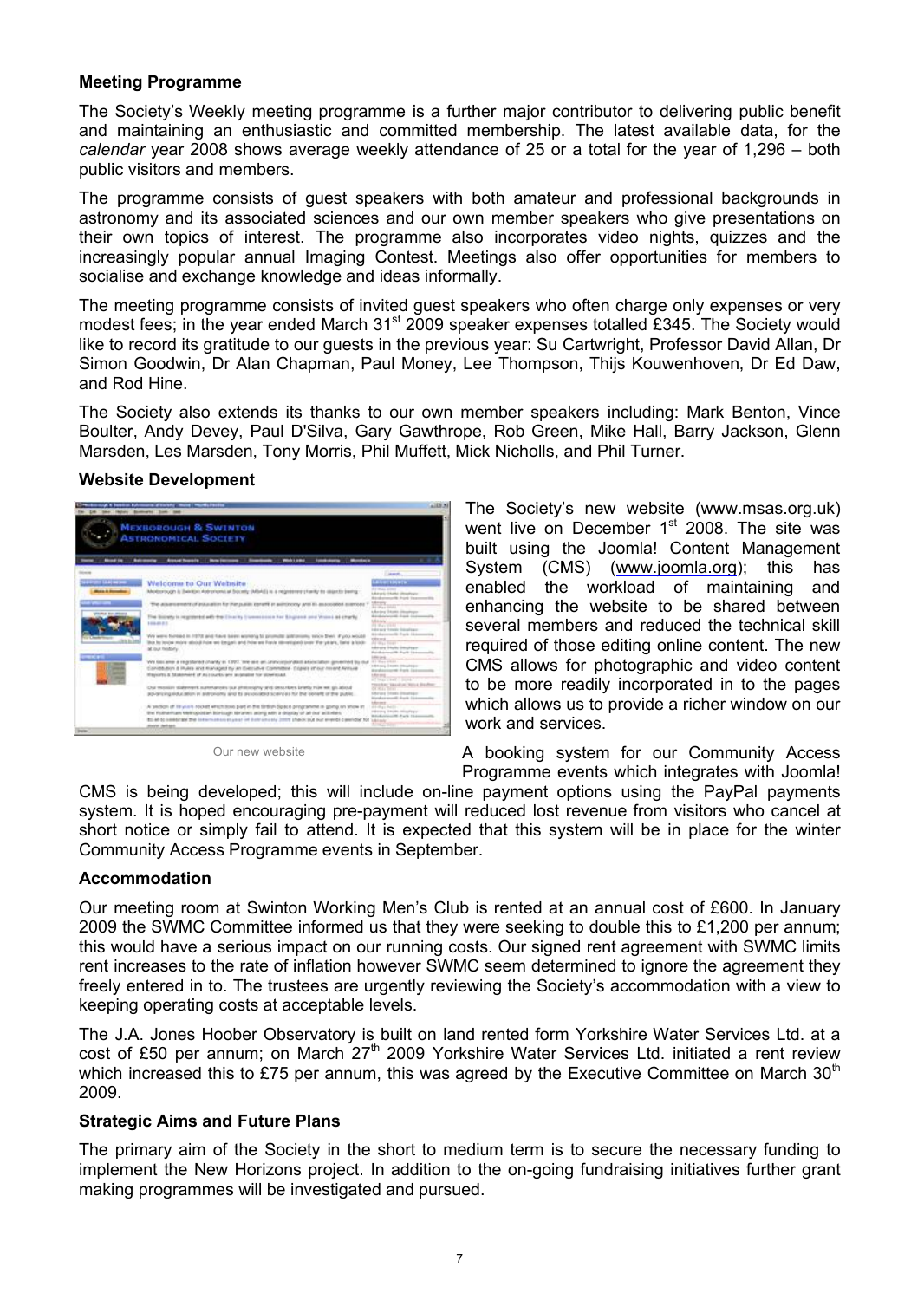#### **Meeting Programme**

The Society's Weekly meeting programme is a further major contributor to delivering public benefit and maintaining an enthusiastic and committed membership. The latest available data, for the *calendar* year 2008 shows average weekly attendance of 25 or a total for the year of 1,296 – both public visitors and members.

The programme consists of guest speakers with both amateur and professional backgrounds in astronomy and its associated sciences and our own member speakers who give presentations on their own topics of interest. The programme also incorporates video nights, quizzes and the increasingly popular annual Imaging Contest. Meetings also offer opportunities for members to socialise and exchange knowledge and ideas informally.

The meeting programme consists of invited guest speakers who often charge only expenses or very modest fees; in the year ended March 31<sup>st</sup> 2009 speaker expenses totalled £345. The Society would like to record its gratitude to our guests in the previous year: Su Cartwright, Professor David Allan, Dr Simon Goodwin, Dr Alan Chapman, Paul Money, Lee Thompson, Thijs Kouwenhoven, Dr Ed Daw, and Rod Hine.

The Society also extends its thanks to our own member speakers including: Mark Benton, Vince Boulter, Andy Devey, Paul D'Silva, Gary Gawthrope, Rob Green, Mike Hall, Barry Jackson, Glenn Marsden, Les Marsden, Tony Morris, Phil Muffett, Mick Nicholls, and Phil Turner.

#### **Website Development**



Our new website

The Society's new website ([www.msas.org.uk\)](www.msas.org.uk) went live on December 1<sup>st</sup> 2008. The site was built using the Joomla! Content Management System (CMS) (<www.joomla.org>); this has enabled the workload of maintaining and enhancing the website to be shared between several members and reduced the technical skill required of those editing online content. The new CMS allows for photographic and video content to be more readily incorporated in to the pages which allows us to provide a richer window on our work and services.

A booking system for our Community Access Programme events which integrates with Joomla!

CMS is being developed; this will include on-line payment options using the PayPal payments system. It is hoped encouraging pre-payment will reduced lost revenue from visitors who cancel at short notice or simply fail to attend. It is expected that this system will be in place for the winter Community Access Programme events in September.

#### **Accommodation**

Our meeting room at Swinton Working Men's Club is rented at an annual cost of Ç600. In January 2009 the SWMC Committee informed us that they were seeking to double this to  $£1,200$  per annum; this would have a serious impact on our running costs. Our signed rent agreement with SWMC limits rent increases to the rate of inflation however SWMC seem determined to ignore the agreement they freely entered in to. The trustees are urgently reviewing the Society's accommodation with a view to keeping operating costs at acceptable levels.

The J.A. Jones Hoober Observatory is built on land rented form Yorkshire Water Services Ltd. at a cost of £50 per annum; on March  $27<sup>th</sup>$  2009 Yorkshire Water Services Ltd. initiated a rent review which increased this to £75 per annum, this was agreed by the Executive Committee on March  $30<sup>th</sup>$ 2009.

#### **Strategic Aims and Future Plans**

The primary aim of the Society in the short to medium term is to secure the necessary funding to implement the New Horizons project. In addition to the on-going fundraising initiatives further grant making programmes will be investigated and pursued.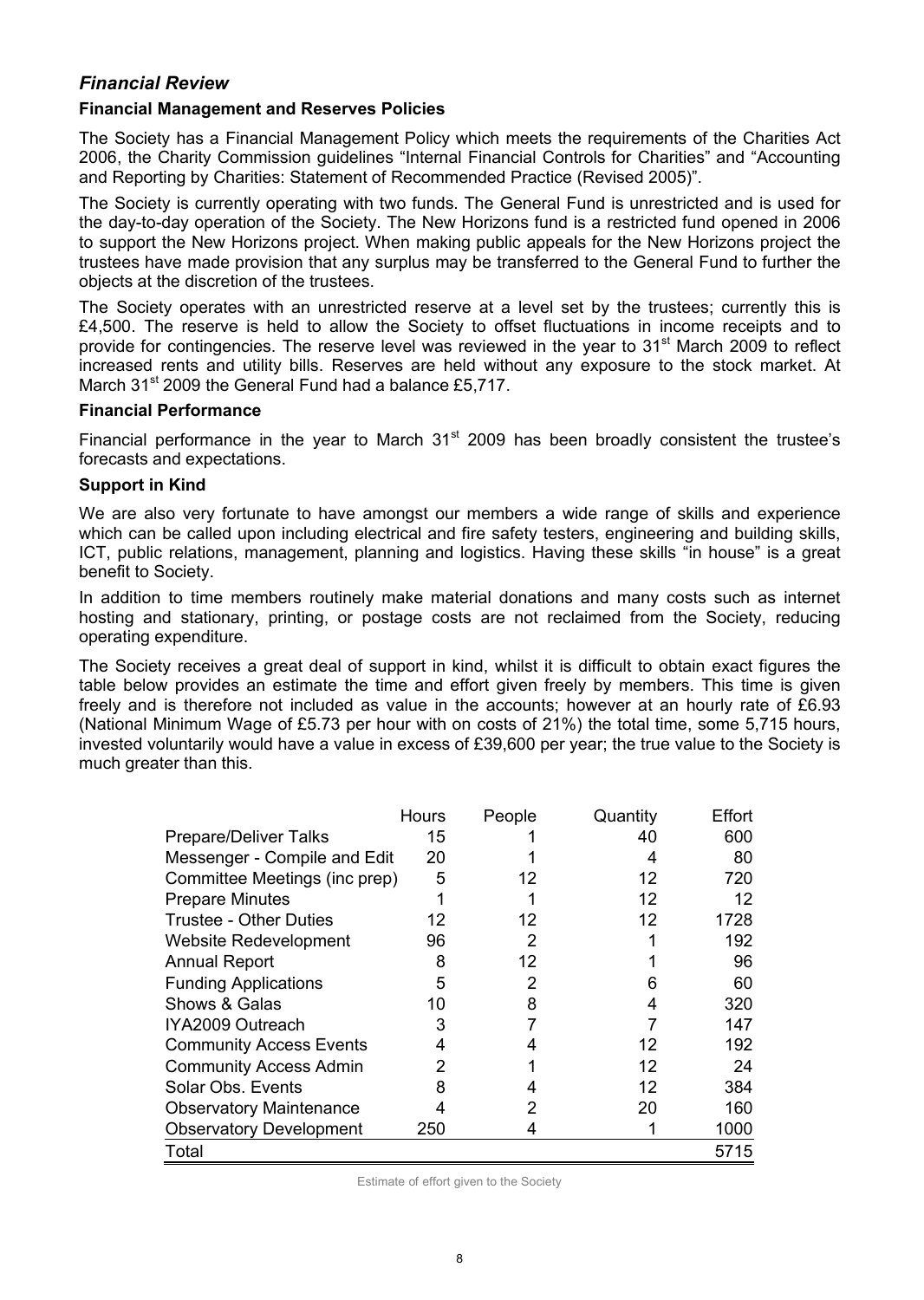#### *Financial Review*

#### **Financial Management and Reserves Policies**

The Society has a Financial Management Policy which meets the requirements of the Charities Act 2006, the Charity Commission guidelines "Internal Financial Controls for Charities" and "Accounting and Reporting by Charities: Statement of Recommended Practice (Revised 2005)".

The Society is currently operating with two funds. The General Fund is unrestricted and is used for the day-to-day operation of the Society. The New Horizons fund is a restricted fund opened in 2006 to support the New Horizons project. When making public appeals for the New Horizons project the trustees have made provision that any surplus may be transferred to the General Fund to further the objects at the discretion of the trustees.

The Society operates with an unrestricted reserve at a level set by the trustees; currently this is £4,500. The reserve is held to allow the Society to offset fluctuations in income receipts and to provide for contingencies. The reserve level was reviewed in the year to 31<sup>st</sup> March 2009 to reflect increased rents and utility bills. Reserves are held without any exposure to the stock market. At March  $31<sup>st</sup>$  2009 the General Fund had a balance £5,717.

#### **Financial Performance**

Financial performance in the year to March  $31<sup>st</sup>$  2009 has been broadly consistent the trustee's forecasts and expectations.

#### **Support in Kind**

We are also very fortunate to have amongst our members a wide range of skills and experience which can be called upon including electrical and fire safety testers, engineering and building skills, ICT, public relations, management, planning and logistics. Having these skills "in house" is a great benefit to Society.

In addition to time members routinely make material donations and many costs such as internet hosting and stationary, printing, or postage costs are not reclaimed from the Society, reducing operating expenditure.

The Society receives a great deal of support in kind, whilst it is difficult to obtain exact figures the table below provides an estimate the time and effort given freely by members. This time is given freely and is therefore not included as value in the accounts; however at an hourly rate of Ç6.93 (National Minimum Wage of Ç5.73 per hour with on costs of 21%) the total time, some 5,715 hours, invested voluntarily would have a value in excess of £39,600 per year; the true value to the Society is much greater than this.

|                                | Hours | People | Quantity | Effort |
|--------------------------------|-------|--------|----------|--------|
| <b>Prepare/Deliver Talks</b>   | 15    |        | 40       | 600    |
| Messenger - Compile and Edit   | 20    |        |          | 80     |
| Committee Meetings (inc prep)  | 5     | 12     | 12       | 720    |
| <b>Prepare Minutes</b>         |       |        | 12       | 12     |
| <b>Trustee - Other Duties</b>  | 12    | 12     | 12       | 1728   |
| Website Redevelopment          | 96    | 2      |          | 192    |
| <b>Annual Report</b>           | 8     | 12     |          | 96     |
| <b>Funding Applications</b>    | 5     | 2      | 6        | 60     |
| Shows & Galas                  | 10    | 8      | 4        | 320    |
| IYA2009 Outreach               | 3     |        |          | 147    |
| <b>Community Access Events</b> | 4     | 4      | 12       | 192    |
| <b>Community Access Admin</b>  | 2     |        | 12       | 24     |
| Solar Obs. Events              | 8     | 4      | 12       | 384    |
| <b>Observatory Maintenance</b> | 4     | 2      | 20       | 160    |
| <b>Observatory Development</b> | 250   | 4      |          | 1000   |
| Total                          |       |        |          | 5715   |

Estimate of effort given to the Society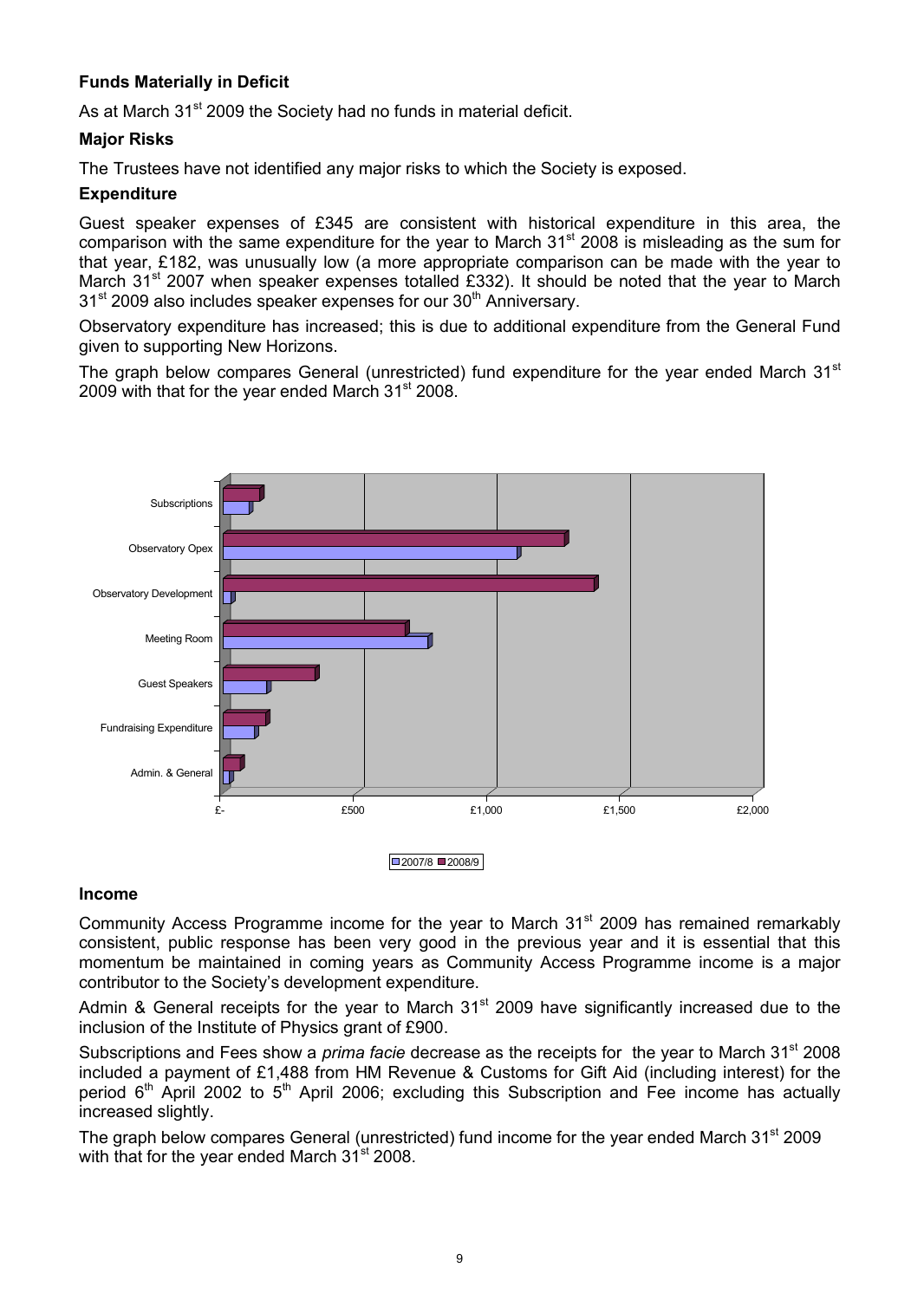#### **Funds Materially in Deficit**

As at March 31<sup>st</sup> 2009 the Society had no funds in material deficit.

#### **Major Risks**

The Trustees have not identified any major risks to which the Society is exposed.

#### **Expenditure**

Guest speaker expenses of £345 are consistent with historical expenditure in this area, the comparison with the same expenditure for the year to March  $31<sup>st</sup>$  2008 is misleading as the sum for that year, Ç182, was unusually low (a more appropriate comparison can be made with the year to March 31<sup>st</sup> 2007 when speaker expenses totalled £332). It should be noted that the year to March  $31<sup>st</sup>$  2009 also includes speaker expenses for our  $30<sup>th</sup>$  Anniversary.

Observatory expenditure has increased; this is due to additional expenditure from the General Fund given to supporting New Horizons.

The graph below compares General (unrestricted) fund expenditure for the year ended March  $31<sup>st</sup>$ 2009 with that for the year ended March 31<sup>st</sup> 2008.



#### **Income**

Community Access Programme income for the year to March 31<sup>st</sup> 2009 has remained remarkably consistent, public response has been very good in the previous year and it is essential that this momentum be maintained in coming years as Community Access Programme income is a major contributor to the Society's development expenditure.

Admin & General receipts for the year to March  $31<sup>st</sup>$  2009 have significantly increased due to the inclusion of the Institute of Physics grant of £900.

Subscriptions and Fees show a *prima facie* decrease as the receipts for the year to March 31st 2008 included a payment of Ç1,488 from HM Revenue & Customs for Gift Aid (including interest) for the period  $6<sup>th</sup>$  April 2002 to  $5<sup>th</sup>$  April 2006; excluding this Subscription and Fee income has actually increased slightly.

The graph below compares General (unrestricted) fund income for the year ended March 31<sup>st</sup> 2009 with that for the year ended March  $31<sup>st</sup>$  2008.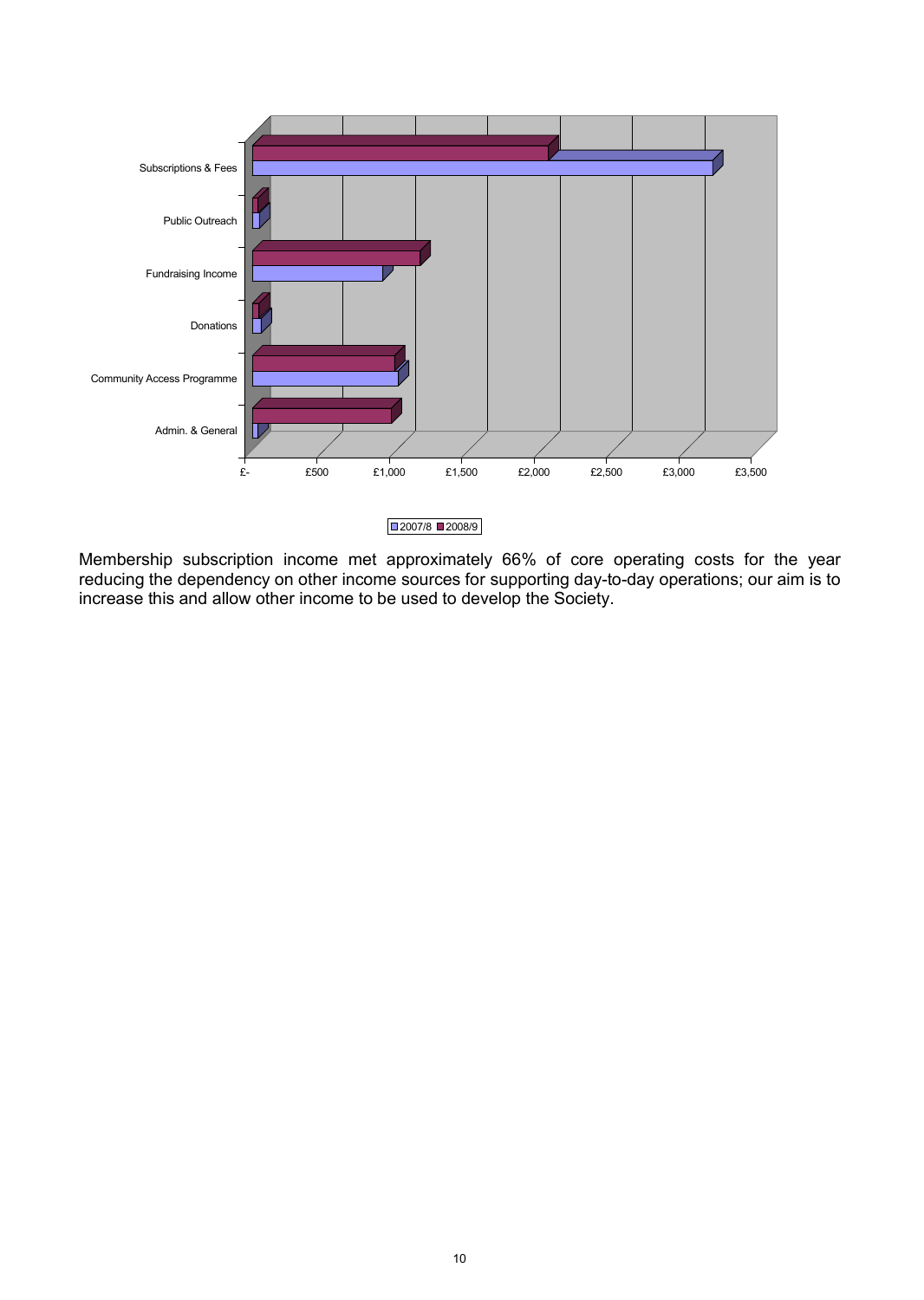

Membership subscription income met approximately 66% of core operating costs for the year reducing the dependency on other income sources for supporting day-to-day operations; our aim is to increase this and allow other income to be used to develop the Society.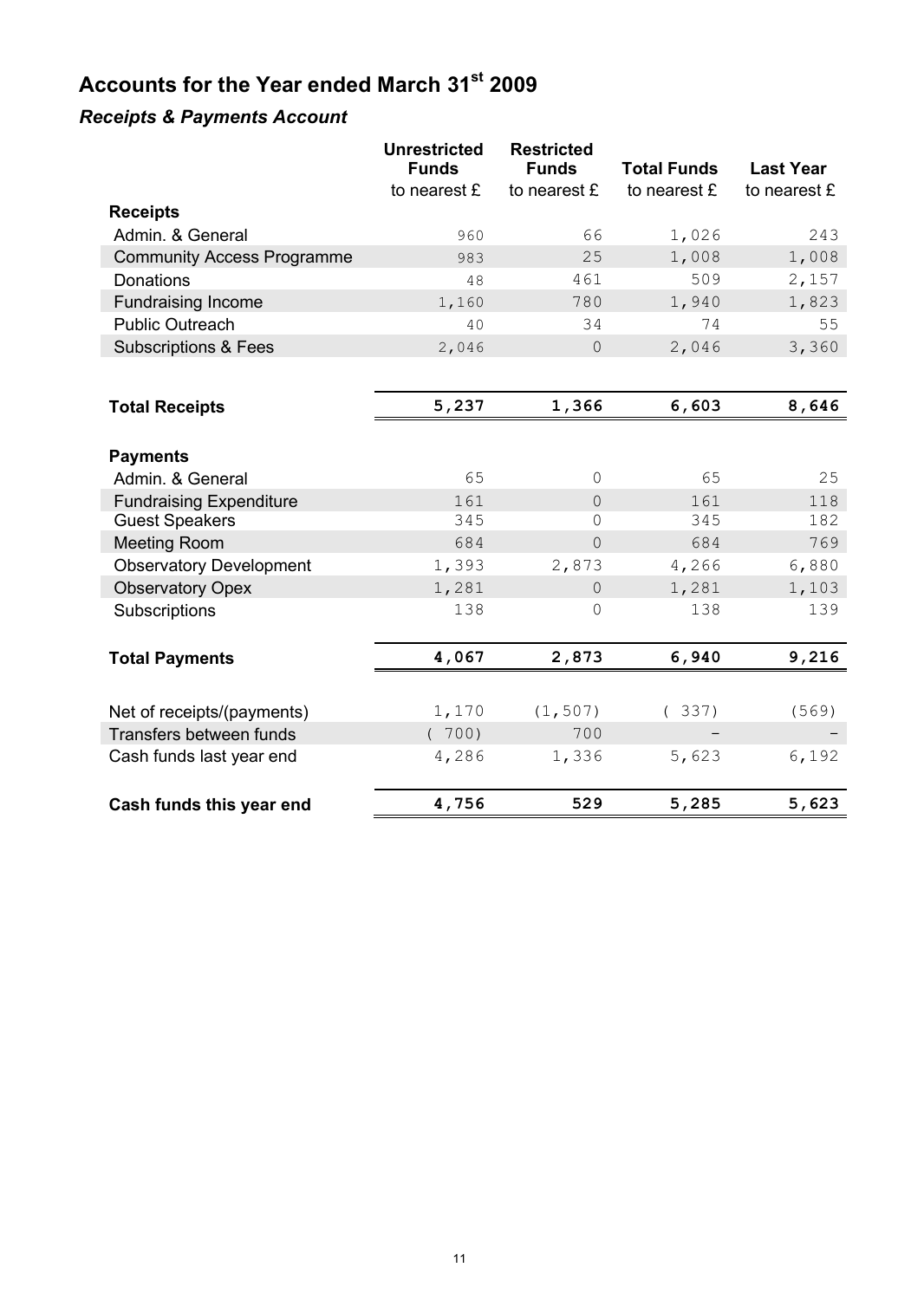# **Accounts for the Year ended March 31st 2009**

## *Receipts & Payments Account*

|                                   | <b>Unrestricted</b><br><b>Funds</b> | <b>Restricted</b><br><b>Funds</b> | <b>Total Funds</b> | <b>Last Year</b> |
|-----------------------------------|-------------------------------------|-----------------------------------|--------------------|------------------|
|                                   | to nearest £                        | to nearest £                      | to nearest £       | to nearest £     |
| <b>Receipts</b>                   |                                     |                                   |                    |                  |
| Admin. & General                  | 960                                 | 66                                | 1,026              | 243              |
| <b>Community Access Programme</b> | 983                                 | 25                                | 1,008              | 1,008            |
| Donations                         | 48                                  | 461                               | 509                | 2,157            |
| <b>Fundraising Income</b>         | 1,160                               | 780                               | 1,940              | 1,823            |
| <b>Public Outreach</b>            | 40                                  | 34                                | 74                 | 55               |
| <b>Subscriptions &amp; Fees</b>   | 2,046                               | $\theta$                          | 2,046              | 3,360            |
|                                   |                                     |                                   |                    |                  |
| <b>Total Receipts</b>             | 5,237                               | 1,366                             | 6,603              | 8,646            |
|                                   |                                     |                                   |                    |                  |
| <b>Payments</b>                   |                                     |                                   |                    |                  |
| Admin. & General                  | 65                                  | $\Omega$                          | 65                 | 25               |
| <b>Fundraising Expenditure</b>    | 161                                 | $\Omega$                          | 161                | 118              |
| <b>Guest Speakers</b>             | 345                                 | 0                                 | 345                | 182              |
| <b>Meeting Room</b>               | 684                                 | $\Omega$                          | 684                | 769              |
| <b>Observatory Development</b>    | 1,393                               | 2,873                             | 4,266              | 6,880            |
| <b>Observatory Opex</b>           | 1,281                               | $\overline{0}$                    | 1,281              | 1,103            |
| Subscriptions                     | 138                                 | $\mathbf 0$                       | 138                | 139              |
| <b>Total Payments</b>             | 4,067                               | 2,873                             | 6,940              | 9,216            |
|                                   |                                     |                                   |                    |                  |
| Net of receipts/(payments)        | 1,170                               | (1, 507)                          | (337)              | (569)            |
| Transfers between funds           | (700)                               | 700                               |                    |                  |
| Cash funds last year end          | 4,286                               | 1,336                             | 5,623              | 6,192            |
| Cash funds this year end          | 4,756                               | 529                               | 5,285              | 5,623            |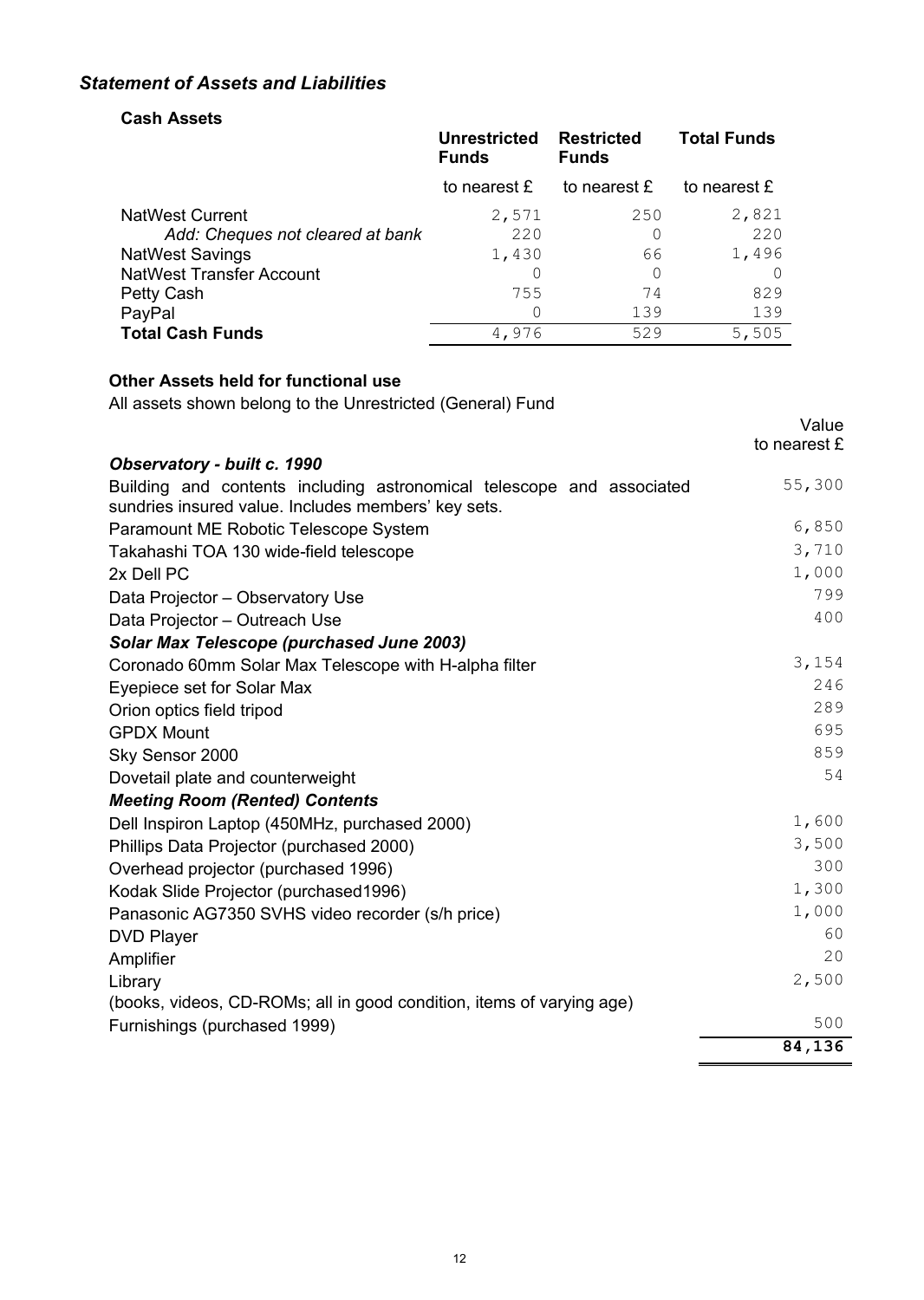### *Statement of Assets and Liabilities*

#### **Cash Assets**

|                                  | <b>Unrestricted</b><br><b>Funds</b> | <b>Restricted</b><br><b>Funds</b> | <b>Total Funds</b> |
|----------------------------------|-------------------------------------|-----------------------------------|--------------------|
|                                  | to nearest £                        | to nearest £                      | to nearest £       |
| <b>NatWest Current</b>           | 2,571                               | 250                               | 2,821              |
| Add: Cheques not cleared at bank | 220                                 |                                   | 220                |
| <b>NatWest Savings</b>           | 1,430                               | 66                                | 1,496              |
| <b>NatWest Transfer Account</b>  | 0                                   | 0                                 |                    |
| Petty Cash                       | 755                                 | 74                                | 829                |
| PayPal                           | 0                                   | 139                               | 139                |
| <b>Total Cash Funds</b>          | 4,976                               | 529                               | 5,505              |

#### **Other Assets held for functional use**

All assets shown belong to the Unrestricted (General) Fund

|                                                                                                                              | Value<br>to nearest £ |
|------------------------------------------------------------------------------------------------------------------------------|-----------------------|
| Observatory - built c. 1990                                                                                                  |                       |
| Building and contents including astronomical telescope and associated<br>sundries insured value. Includes members' key sets. | 55,300                |
| Paramount ME Robotic Telescope System                                                                                        | 6,850                 |
| Takahashi TOA 130 wide-field telescope                                                                                       | 3,710                 |
| 2x Dell PC                                                                                                                   | 1,000                 |
| Data Projector - Observatory Use                                                                                             | 799                   |
| Data Projector - Outreach Use                                                                                                | 400                   |
| <b>Solar Max Telescope (purchased June 2003)</b>                                                                             |                       |
| Coronado 60mm Solar Max Telescope with H-alpha filter                                                                        | 3,154                 |
| Eyepiece set for Solar Max                                                                                                   | 246                   |
| Orion optics field tripod                                                                                                    | 289                   |
| <b>GPDX Mount</b>                                                                                                            | 695                   |
| Sky Sensor 2000                                                                                                              | 859                   |
| Dovetail plate and counterweight                                                                                             | 54                    |
| <b>Meeting Room (Rented) Contents</b>                                                                                        |                       |
| Dell Inspiron Laptop (450MHz, purchased 2000)                                                                                | 1,600                 |
| Phillips Data Projector (purchased 2000)                                                                                     | 3,500                 |
| Overhead projector (purchased 1996)                                                                                          | 300                   |
| Kodak Slide Projector (purchased1996)                                                                                        | 1,300                 |
| Panasonic AG7350 SVHS video recorder (s/h price)                                                                             | 1,000                 |
| <b>DVD Player</b>                                                                                                            | 60                    |
| Amplifier                                                                                                                    | 20                    |
| Library                                                                                                                      | 2,500                 |
| (books, videos, CD-ROMs; all in good condition, items of varying age)                                                        |                       |
| Furnishings (purchased 1999)                                                                                                 | 500                   |
|                                                                                                                              | 84,136                |